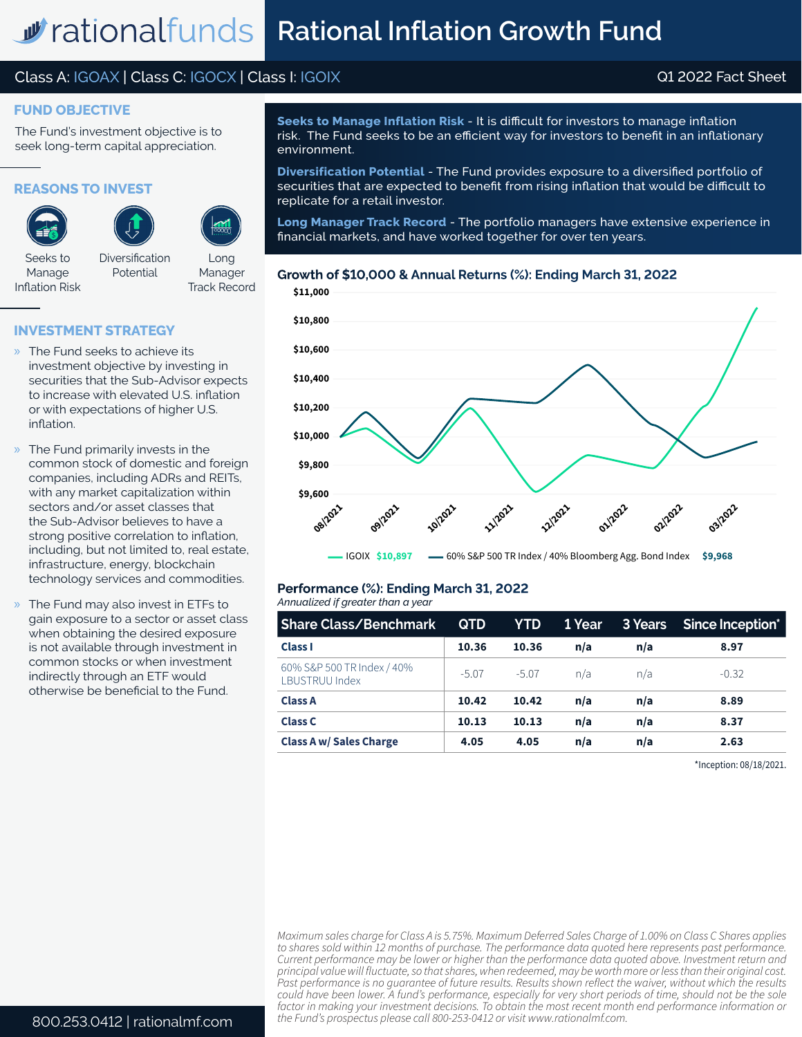# Class A: IGOAX | Class C: IGOCX | Class I: IGOIX Q1 2022 Fact Sheet

#### **FUND OBJECTIVE**

The Fund's investment objective is to seek long-term capital appreciation.

**REASONS TO INVEST**





Seeks to Manage Inflation Risk

Diversification Potential

Long Manager Track Record

#### **INVESTMENT STRATEGY**

- » The Fund seeks to achieve its investment objective by investing in securities that the Sub-Advisor expects to increase with elevated U.S. inflation or with expectations of higher U.S. inflation.
- » The Fund primarily invests in the common stock of domestic and foreign companies, including ADRs and REITs, with any market capitalization within sectors and/or asset classes that the Sub-Advisor believes to have a strong positive correlation to inflation, including, but not limited to, real estate, infrastructure, energy, blockchain technology services and commodities.
- » The Fund may also invest in ETFs to gain exposure to a sector or asset class when obtaining the desired exposure is not available through investment in common stocks or when investment indirectly through an ETF would otherwise be beneficial to the Fund.

**Seeks to Manage Inflation Risk** - It is difficult for investors to manage inflation risk. The Fund seeks to be an efficient way for investors to benefit in an inflationary environment.

**Diversification Potential** - The Fund provides exposure to a diversified portfolio of securities that are expected to benefit from rising inflation that would be difficult to replicate for a retail investor.

**Long Manager Track Record** - The portfolio managers have extensive experience in financial markets, and have worked together for over ten years.

#### **Growth of \$10,000 & Annual Returns (%): Ending March 31, 2022**



# **Performance (%): Ending March 31, 2022**

| Annualized if greater than a year |  |  |  |  |  |
|-----------------------------------|--|--|--|--|--|
|-----------------------------------|--|--|--|--|--|

| <b>Share Class/Benchmark</b>                 | <b>QTD</b> | YTD.    | <b>1 Year</b> |     | 3 Years Since Inception* |
|----------------------------------------------|------------|---------|---------------|-----|--------------------------|
| <b>Class I</b>                               | 10.36      | 10.36   | n/a           | n/a | 8.97                     |
| 60% S&P 500 TR Index / 40%<br>LBUSTRUU Index | $-5.07$    | $-5.07$ | n/a           | n/a | $-0.32$                  |
| <b>Class A</b>                               | 10.42      | 10.42   | n/a           | n/a | 8.89                     |
| Class C                                      | 10.13      | 10.13   | n/a           | n/a | 8.37                     |
| <b>Class A w/ Sales Charge</b>               | 4.05       | 4.05    | n/a           | n/a | 2.63                     |

\*Inception: 08/18/2021.

*Maximum sales charge for Class A is 5.75%. Maximum Deferred Sales Charge of 1.00% on Class C Shares applies to shares sold within 12 months of purchase. The performance data quoted here represents past performance. Current performance may be lower or higher than the performance data quoted above. Investment return and principal value will fluctuate, so that shares, when redeemed, may be worth more or less than their original cost. Past performance is no guarantee of future results. Results shown reflect the waiver, without which the results could have been lower. A fund's performance, especially for very short periods of time, should not be the sole factor in making your investment decisions. To obtain the most recent month end performance information or the Fund's prospectus please call 800-253-0412 or visit www.rationalmf.com.*